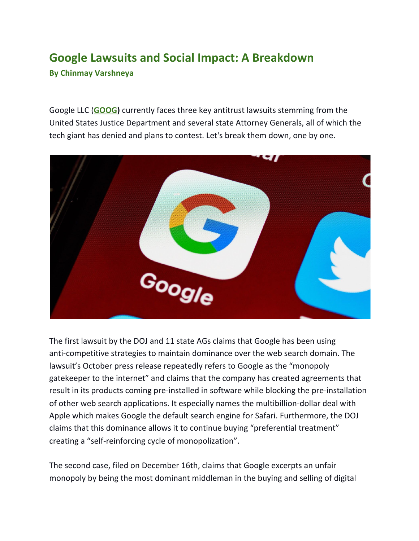## **Google Lawsuits and Social Impact: A Breakdown By Chinmay Varshneya**

Google LLC (**[GOOG](https://www.wsj.com/market-data/quotes/GOOG))** currently faces three key antitrust lawsuits stemming from the United States Justice Department and several state Attorney Generals, all of which the tech giant has denied and plans to contest. Let's break them down, one by one.



The first lawsuit by the DOJ and 11 state AGs claims that Google has been using anti-competitive strategies to maintain dominance over the web search domain. The lawsuit's October press release repeatedly refers to Google as the "monopoly gatekeeper to the internet" and claims that the company has created agreements that result in its products coming pre-installed in software while blocking the pre-installation of other web search applications. It especially names the multibillion-dollar deal with Apple which makes Google the default search engine for Safari. Furthermore, the DOJ claims that this dominance allows it to continue buying "preferential treatment" creating a "self-reinforcing cycle of monopolization".

The second case, filed on December 16th, claims that Google excerpts an unfair monopoly by being the most dominant middleman in the buying and selling of digital